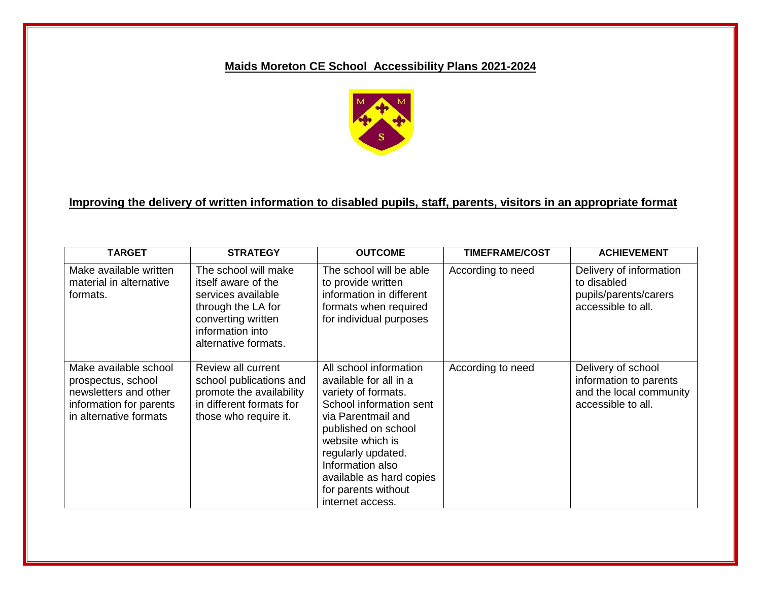# **Maids Moreton CE School Accessibility Plans 2021-2024**



# **Improving the delivery of written information to disabled pupils, staff, parents, visitors in an appropriate format**

| <b>TARGET</b>                                                                                                             | <b>STRATEGY</b>                                                                                                                                           | <b>OUTCOME</b>                                                                                                                                                                                                                                                                       | <b>TIMEFRAME/COST</b> | <b>ACHIEVEMENT</b>                                                                            |
|---------------------------------------------------------------------------------------------------------------------------|-----------------------------------------------------------------------------------------------------------------------------------------------------------|--------------------------------------------------------------------------------------------------------------------------------------------------------------------------------------------------------------------------------------------------------------------------------------|-----------------------|-----------------------------------------------------------------------------------------------|
| Make available written<br>material in alternative<br>formats.                                                             | The school will make<br>itself aware of the<br>services available<br>through the LA for<br>converting written<br>information into<br>alternative formats. | The school will be able<br>to provide written<br>information in different<br>formats when required<br>for individual purposes                                                                                                                                                        | According to need     | Delivery of information<br>to disabled<br>pupils/parents/carers<br>accessible to all.         |
| Make available school<br>prospectus, school<br>newsletters and other<br>information for parents<br>in alternative formats | Review all current<br>school publications and<br>promote the availability<br>in different formats for<br>those who require it.                            | All school information<br>available for all in a<br>variety of formats.<br>School information sent<br>via Parentmail and<br>published on school<br>website which is<br>regularly updated.<br>Information also<br>available as hard copies<br>for parents without<br>internet access. | According to need     | Delivery of school<br>information to parents<br>and the local community<br>accessible to all. |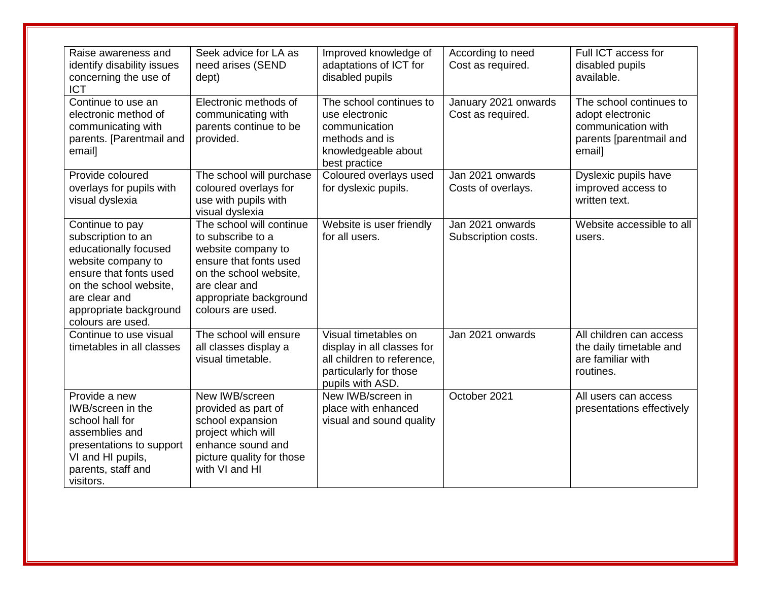| Raise awareness and<br>identify disability issues<br>concerning the use of<br><b>ICT</b>                                                                                                                 | Seek advice for LA as<br>need arises (SEND<br>dept)                                                                                                                                     | Improved knowledge of<br>adaptations of ICT for<br>disabled pupils                                                             | According to need<br>Cost as required.    | Full ICT access for<br>disabled pupils<br>available.                                                   |
|----------------------------------------------------------------------------------------------------------------------------------------------------------------------------------------------------------|-----------------------------------------------------------------------------------------------------------------------------------------------------------------------------------------|--------------------------------------------------------------------------------------------------------------------------------|-------------------------------------------|--------------------------------------------------------------------------------------------------------|
| Continue to use an<br>electronic method of<br>communicating with<br>parents. [Parentmail and<br>email]                                                                                                   | Electronic methods of<br>communicating with<br>parents continue to be<br>provided.                                                                                                      | The school continues to<br>use electronic<br>communication<br>methods and is<br>knowledgeable about<br>best practice           | January 2021 onwards<br>Cost as required. | The school continues to<br>adopt electronic<br>communication with<br>parents [parentmail and<br>email] |
| Provide coloured<br>overlays for pupils with<br>visual dyslexia                                                                                                                                          | The school will purchase<br>coloured overlays for<br>use with pupils with<br>visual dyslexia                                                                                            | Coloured overlays used<br>for dyslexic pupils.                                                                                 | Jan 2021 onwards<br>Costs of overlays.    | Dyslexic pupils have<br>improved access to<br>written text.                                            |
| Continue to pay<br>subscription to an<br>educationally focused<br>website company to<br>ensure that fonts used<br>on the school website,<br>are clear and<br>appropriate background<br>colours are used. | The school will continue<br>to subscribe to a<br>website company to<br>ensure that fonts used<br>on the school website,<br>are clear and<br>appropriate background<br>colours are used. | Website is user friendly<br>for all users.                                                                                     | Jan 2021 onwards<br>Subscription costs.   | Website accessible to all<br>users.                                                                    |
| Continue to use visual<br>timetables in all classes                                                                                                                                                      | The school will ensure<br>all classes display a<br>visual timetable.                                                                                                                    | Visual timetables on<br>display in all classes for<br>all children to reference,<br>particularly for those<br>pupils with ASD. | Jan 2021 onwards                          | All children can access<br>the daily timetable and<br>are familiar with<br>routines.                   |
| Provide a new<br>IWB/screen in the<br>school hall for<br>assemblies and<br>presentations to support<br>VI and HI pupils,<br>parents, staff and<br>visitors.                                              | New IWB/screen<br>provided as part of<br>school expansion<br>project which will<br>enhance sound and<br>picture quality for those<br>with VI and HI                                     | New IWB/screen in<br>place with enhanced<br>visual and sound quality                                                           | October 2021                              | All users can access<br>presentations effectively                                                      |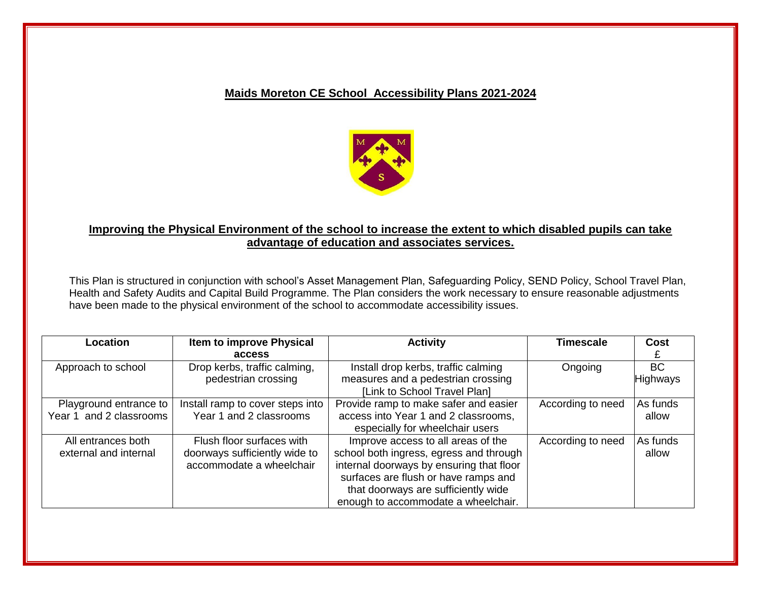#### **Maids Moreton CE School Accessibility Plans 2021-2024**



#### **Improving the Physical Environment of the school to increase the extent to which disabled pupils can take advantage of education and associates services.**

This Plan is structured in conjunction with school's Asset Management Plan, Safeguarding Policy, SEND Policy, School Travel Plan, Health and Safety Audits and Capital Build Programme. The Plan considers the work necessary to ensure reasonable adjustments have been made to the physical environment of the school to accommodate accessibility issues.

| Location                | Item to improve Physical         | <b>Activity</b>                          | Timescale         | Cost            |
|-------------------------|----------------------------------|------------------------------------------|-------------------|-----------------|
|                         | access                           |                                          |                   |                 |
| Approach to school      | Drop kerbs, traffic calming,     | Install drop kerbs, traffic calming      | Ongoing           | <b>BC</b>       |
|                         | pedestrian crossing              | measures and a pedestrian crossing       |                   | <b>Highways</b> |
|                         |                                  | [Link to School Travel Plan]             |                   |                 |
| Playground entrance to  | Install ramp to cover steps into | Provide ramp to make safer and easier    | According to need | As funds        |
| Year 1 and 2 classrooms | Year 1 and 2 classrooms          | access into Year 1 and 2 classrooms,     |                   | allow           |
|                         |                                  | especially for wheelchair users          |                   |                 |
| All entrances both      | Flush floor surfaces with        | Improve access to all areas of the       | According to need | As funds        |
| external and internal   | doorways sufficiently wide to    | school both ingress, egress and through  |                   | allow           |
|                         | accommodate a wheelchair         | internal doorways by ensuring that floor |                   |                 |
|                         |                                  | surfaces are flush or have ramps and     |                   |                 |
|                         |                                  | that doorways are sufficiently wide      |                   |                 |
|                         |                                  | enough to accommodate a wheelchair.      |                   |                 |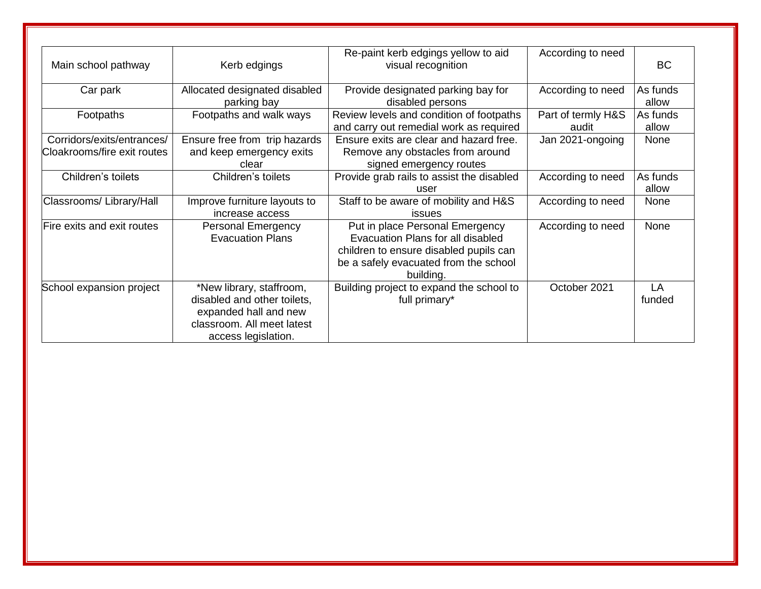| Main school pathway                                       | Kerb edgings                                                                                                                          | Re-paint kerb edgings yellow to aid<br>visual recognition                                                                                                            | According to need           | <b>BC</b>         |
|-----------------------------------------------------------|---------------------------------------------------------------------------------------------------------------------------------------|----------------------------------------------------------------------------------------------------------------------------------------------------------------------|-----------------------------|-------------------|
| Car park                                                  | Allocated designated disabled<br>parking bay                                                                                          | Provide designated parking bay for<br>disabled persons                                                                                                               | According to need           | As funds<br>allow |
| Footpaths                                                 | Footpaths and walk ways                                                                                                               | Review levels and condition of footpaths<br>and carry out remedial work as required                                                                                  | Part of termly H&S<br>audit | As funds<br>allow |
| Corridors/exits/entrances/<br>Cloakrooms/fire exit routes | Ensure free from trip hazards<br>and keep emergency exits<br>clear                                                                    | Ensure exits are clear and hazard free.<br>Remove any obstacles from around<br>signed emergency routes                                                               | Jan 2021-ongoing            | None              |
| Children's toilets                                        | Children's toilets                                                                                                                    | Provide grab rails to assist the disabled<br>user                                                                                                                    | According to need           | As funds<br>allow |
| Classrooms/ Library/Hall                                  | Improve furniture layouts to<br>increase access                                                                                       | Staff to be aware of mobility and H&S<br>issues                                                                                                                      | According to need           | None              |
| Fire exits and exit routes                                | <b>Personal Emergency</b><br><b>Evacuation Plans</b>                                                                                  | Put in place Personal Emergency<br>Evacuation Plans for all disabled<br>children to ensure disabled pupils can<br>be a safely evacuated from the school<br>building. | According to need           | None              |
| School expansion project                                  | *New library, staffroom,<br>disabled and other toilets,<br>expanded hall and new<br>classroom. All meet latest<br>access legislation. | Building project to expand the school to<br>full primary*                                                                                                            | October 2021                | LA<br>funded      |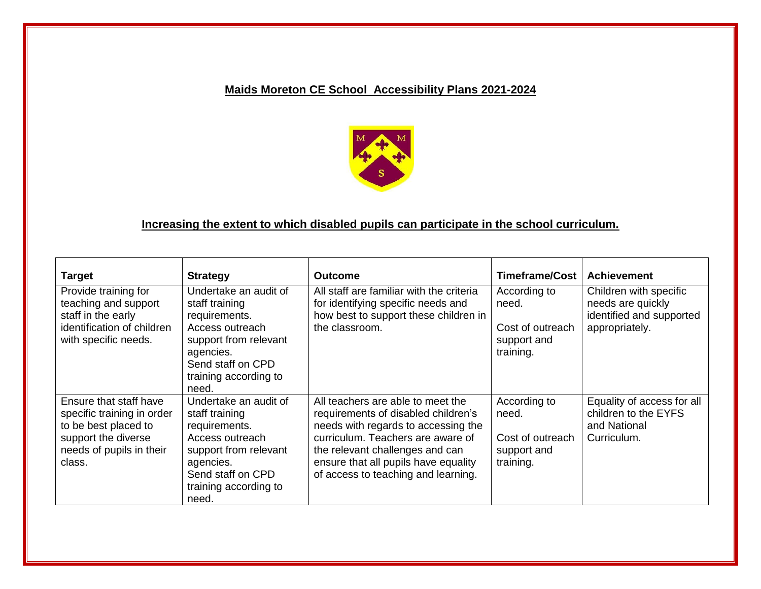### **Maids Moreton CE School Accessibility Plans 2021-2024**



# **Increasing the extent to which disabled pupils can participate in the school curriculum.**

| <b>Target</b>                                                                                                                             | <b>Strategy</b>                                                                                                                                                          | <b>Outcome</b>                                                                                                                                                                                                                                                         | Timeframe/Cost                                                        | <b>Achievement</b>                                                                        |
|-------------------------------------------------------------------------------------------------------------------------------------------|--------------------------------------------------------------------------------------------------------------------------------------------------------------------------|------------------------------------------------------------------------------------------------------------------------------------------------------------------------------------------------------------------------------------------------------------------------|-----------------------------------------------------------------------|-------------------------------------------------------------------------------------------|
| Provide training for<br>teaching and support<br>staff in the early<br>identification of children<br>with specific needs.                  | Undertake an audit of<br>staff training<br>requirements.<br>Access outreach<br>support from relevant<br>agencies.<br>Send staff on CPD<br>training according to<br>need. | All staff are familiar with the criteria<br>for identifying specific needs and<br>how best to support these children in<br>the classroom.                                                                                                                              | According to<br>need.<br>Cost of outreach<br>support and<br>training. | Children with specific<br>needs are quickly<br>identified and supported<br>appropriately. |
| Ensure that staff have<br>specific training in order<br>to be best placed to<br>support the diverse<br>needs of pupils in their<br>class. | Undertake an audit of<br>staff training<br>requirements.<br>Access outreach<br>support from relevant<br>agencies.<br>Send staff on CPD<br>training according to<br>need. | All teachers are able to meet the<br>requirements of disabled children's<br>needs with regards to accessing the<br>curriculum. Teachers are aware of<br>the relevant challenges and can<br>ensure that all pupils have equality<br>of access to teaching and learning. | According to<br>need.<br>Cost of outreach<br>support and<br>training. | Equality of access for all<br>children to the EYFS<br>and National<br>Curriculum.         |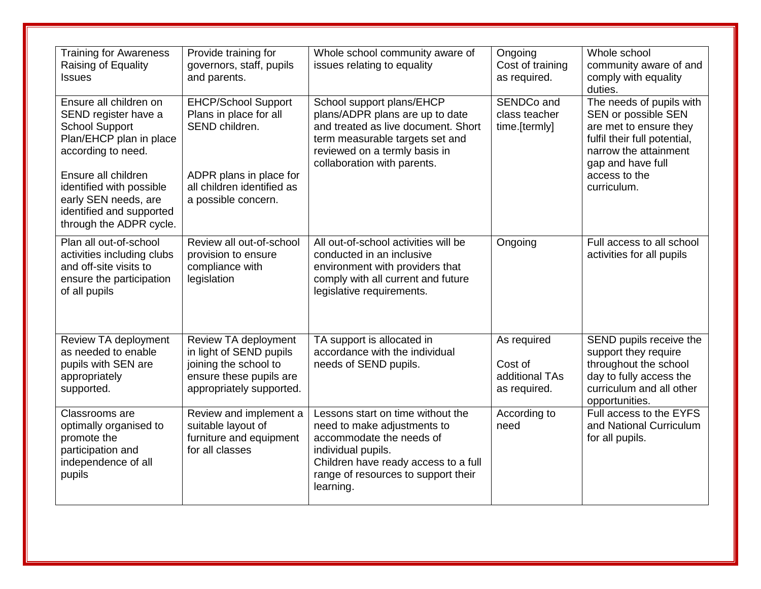| <b>Training for Awareness</b><br>Raising of Equality<br><b>Issues</b>                                                          | Provide training for<br>governors, staff, pupils<br>and parents.                                                                | Whole school community aware of<br>issues relating to equality                                                                                                                                                 | Ongoing<br>Cost of training<br>as required.              | Whole school<br>community aware of and<br>comply with equality<br>duties.                                                                               |
|--------------------------------------------------------------------------------------------------------------------------------|---------------------------------------------------------------------------------------------------------------------------------|----------------------------------------------------------------------------------------------------------------------------------------------------------------------------------------------------------------|----------------------------------------------------------|---------------------------------------------------------------------------------------------------------------------------------------------------------|
| Ensure all children on<br>SEND register have a<br><b>School Support</b><br>Plan/EHCP plan in place<br>according to need.       | <b>EHCP/School Support</b><br>Plans in place for all<br>SEND children.                                                          | School support plans/EHCP<br>plans/ADPR plans are up to date<br>and treated as live document. Short<br>term measurable targets set and<br>reviewed on a termly basis in<br>collaboration with parents.         | SENDCo and<br>class teacher<br>time.[termly]             | The needs of pupils with<br>SEN or possible SEN<br>are met to ensure they<br>fulfil their full potential,<br>narrow the attainment<br>gap and have full |
| Ensure all children<br>identified with possible<br>early SEN needs, are<br>identified and supported<br>through the ADPR cycle. | ADPR plans in place for<br>all children identified as<br>a possible concern.                                                    |                                                                                                                                                                                                                |                                                          | access to the<br>curriculum.                                                                                                                            |
| Plan all out-of-school<br>activities including clubs<br>and off-site visits to<br>ensure the participation<br>of all pupils    | Review all out-of-school<br>provision to ensure<br>compliance with<br>legislation                                               | All out-of-school activities will be<br>conducted in an inclusive<br>environment with providers that<br>comply with all current and future<br>legislative requirements.                                        | Ongoing                                                  | Full access to all school<br>activities for all pupils                                                                                                  |
| Review TA deployment<br>as needed to enable<br>pupils with SEN are<br>appropriately<br>supported.                              | Review TA deployment<br>in light of SEND pupils<br>joining the school to<br>ensure these pupils are<br>appropriately supported. | TA support is allocated in<br>accordance with the individual<br>needs of SEND pupils.                                                                                                                          | As required<br>Cost of<br>additional TAs<br>as required. | SEND pupils receive the<br>support they require<br>throughout the school<br>day to fully access the<br>curriculum and all other<br>opportunities.       |
| Classrooms are<br>optimally organised to<br>promote the<br>participation and<br>independence of all<br>pupils                  | Review and implement a<br>suitable layout of<br>furniture and equipment<br>for all classes                                      | Lessons start on time without the<br>need to make adjustments to<br>accommodate the needs of<br>individual pupils.<br>Children have ready access to a full<br>range of resources to support their<br>learning. | According to<br>need                                     | Full access to the EYFS<br>and National Curriculum<br>for all pupils.                                                                                   |